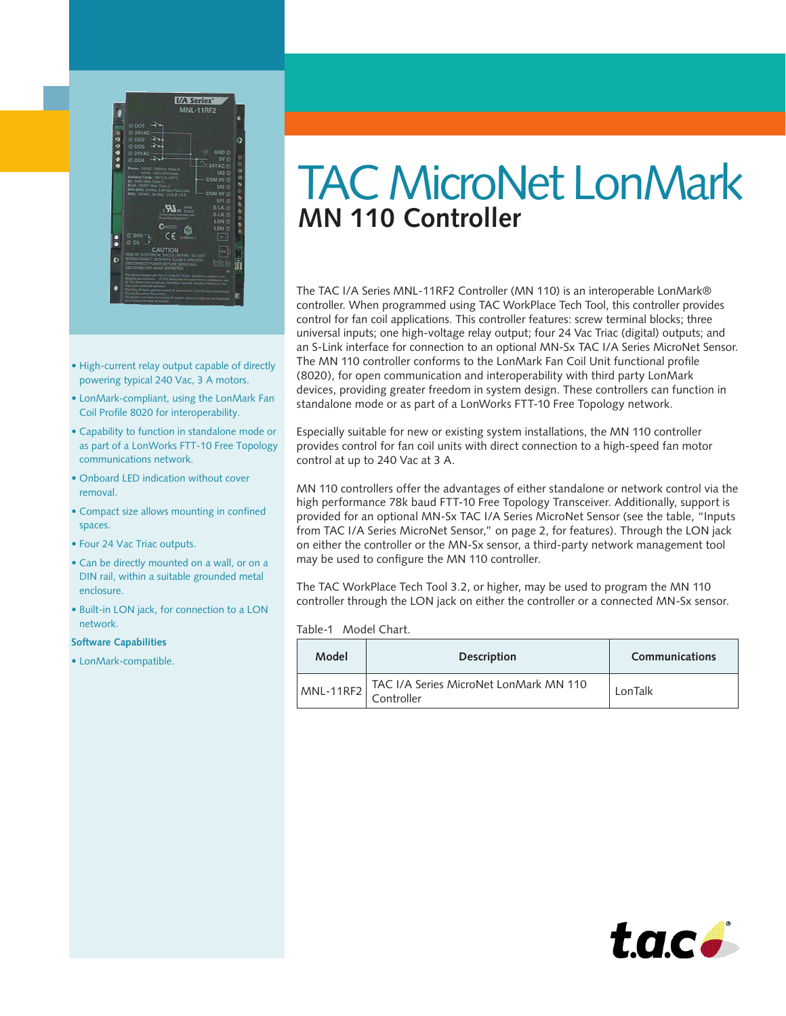

• •

- High-current relay output capable of directly powering typical 240 Vac, 3 A motors.
- LonMark-compliant, using the LonMark Fan Coil Profile 8020 for interoperability.
- Capability to function in standalone mode or as part of a LonWorks FTT-10 Free Topology communications network.
- Onboard LED indication without cover removal.
- Compact size allows mounting in confined spaces.
- Four 24 Vac Triac outputs.
- Can be directly mounted on a wall, or on a DIN rail, within a suitable grounded metal enclosure.
- Built-in LON jack, for connection to a LON network.

#### **Software Capabilities**

• LonMark-compatible.

# TAC MicroNet LonMark **MN 110 Controller**

The TAC I/A Series MNL-11RF2 Controller (MN 110) is an interoperable LonMark® controller. When programmed using TAC WorkPlace Tech Tool, this controller provides control for fan coil applications. This controller features: screw terminal blocks; three universal inputs; one high-voltage relay output; four 24 Vac Triac (digital) outputs; and an S-Link interface for connection to an optional MN-Sx TAC I/A Series MicroNet Sensor. The MN 110 controller conforms to the LonMark Fan Coil Unit functional profile (8020), for open communication and interoperability with third party LonMark devices, providing greater freedom in system design. These controllers can function in standalone mode or as part of a LonWorks FTT-10 Free Topology network.

Especially suitable for new or existing system installations, the MN 110 controller provides control for fan coil units with direct connection to a high-speed fan motor control at up to 240 Vac at 3 A.

MN 110 controllers offer the advantages of either standalone or network control via the high performance 78k baud FTT-10 Free Topology Transceiver. Additionally, support is provided for an optional MN-Sx TAC I/A Series MicroNet Sensor (see the table, "Inputs from TAC I/A Series MicroNet Sensor," on page 2, for features). Through the LON jack on either the controller or the MN-Sx sensor, a third-party network management tool may be used to configure the MN 110 controller.

The TAC WorkPlace Tech Tool 3.2, or higher, may be used to program the MN 110 controller through the LON jack on either the controller or a connected MN-Sx sensor.

| Table-1 | Model Chart. |  |
|---------|--------------|--|
|---------|--------------|--|

| Model     | <b>Description</b>                                   | Communications |
|-----------|------------------------------------------------------|----------------|
| MNL-11RF2 | TAC I/A Series MicroNet LonMark MN 110<br>Controller | LonTalk        |

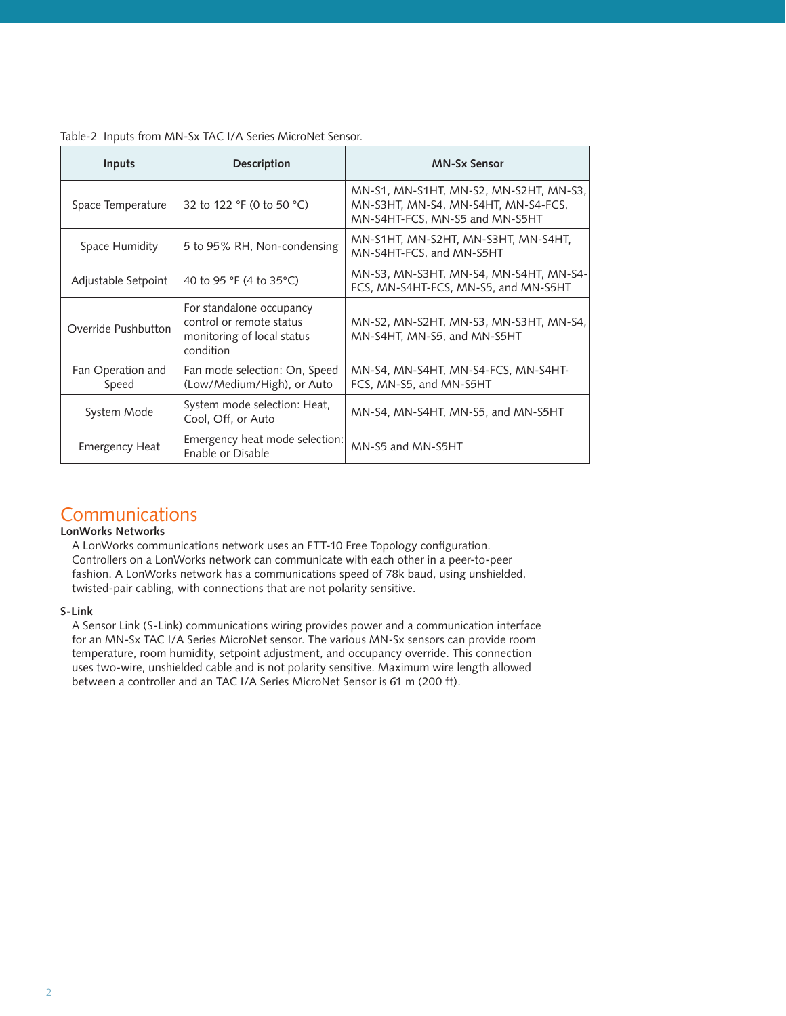| Inputs                     | <b>Description</b>                                                                              | <b>MN-Sx Sensor</b>                                                                                             |
|----------------------------|-------------------------------------------------------------------------------------------------|-----------------------------------------------------------------------------------------------------------------|
| Space Temperature          | 32 to 122 °F (0 to 50 °C)                                                                       | MN-S1, MN-S1HT, MN-S2, MN-S2HT, MN-S3,<br>MN-S3HT, MN-S4, MN-S4HT, MN-S4-FCS,<br>MN-S4HT-FCS, MN-S5 and MN-S5HT |
| Space Humidity             | 5 to 95% RH, Non-condensing                                                                     | MN-S1HT, MN-S2HT, MN-S3HT, MN-S4HT,<br>MN-S4HT-FCS, and MN-S5HT                                                 |
| Adjustable Setpoint        | 40 to 95 °F (4 to 35 °C)                                                                        | MN-S3, MN-S3HT, MN-S4, MN-S4HT, MN-S4-<br>FCS, MN-S4HT-FCS, MN-S5, and MN-S5HT                                  |
| Override Pushbutton        | For standalone occupancy<br>control or remote status<br>monitoring of local status<br>condition | MN-S2, MN-S2HT, MN-S3, MN-S3HT, MN-S4,<br>MN-S4HT, MN-S5, and MN-S5HT                                           |
| Fan Operation and<br>Speed | Fan mode selection: On, Speed<br>(Low/Medium/High), or Auto                                     | MN-S4, MN-S4HT, MN-S4-FCS, MN-S4HT-<br>FCS, MN-S5, and MN-S5HT                                                  |
| System Mode                | System mode selection: Heat,<br>Cool, Off, or Auto                                              | MN-S4, MN-S4HT, MN-S5, and MN-S5HT                                                                              |
| <b>Emergency Heat</b>      | Emergency heat mode selection:<br>Enable or Disable                                             | MN-S5 and MN-S5HT                                                                                               |

#### Table-2 Inputs from MN-Sx TAC I/A Series MicroNet Sensor.

# **Communications**

## **LonWorks Networks**

A LonWorks communications network uses an FTT-10 Free Topology configuration. Controllers on a LonWorks network can communicate with each other in a peer-to-peer fashion. A LonWorks network has a communications speed of 78k baud, using unshielded, twisted-pair cabling, with connections that are not polarity sensitive.

# **S-Link**

A Sensor Link (S-Link) communications wiring provides power and a communication interface for an MN-Sx TAC I/A Series MicroNet sensor. The various MN-Sx sensors can provide room temperature, room humidity, setpoint adjustment, and occupancy override. This connection uses two-wire, unshielded cable and is not polarity sensitive. Maximum wire length allowed between a controller and an TAC I/A Series MicroNet Sensor is 61 m (200 ft).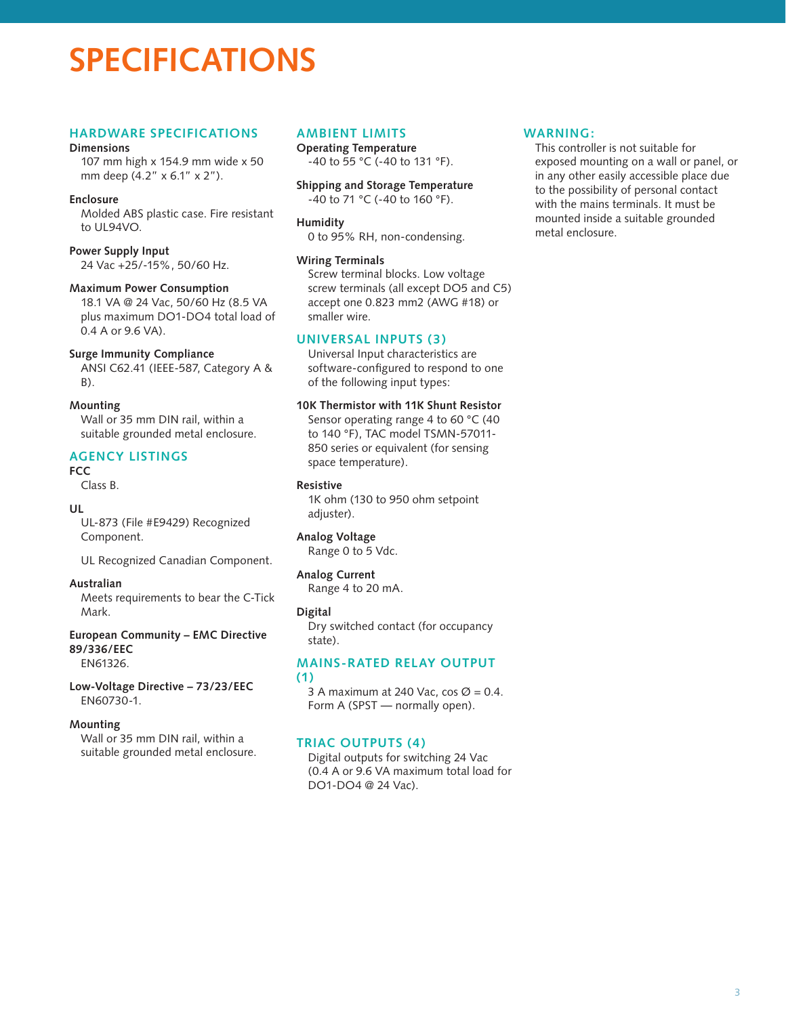# **SPECIFICATIONS**

# **Hardware Specifications**

#### **Dimensions**

107 mm high x 154.9 mm wide x 50 mm deep (4.2" x 6.1" x 2").

## **Enclosure**

Molded ABS plastic case. Fire resistant to UL94VO.

#### **Power Supply Input**

24 Vac +25/-15%, 50/60 Hz.

#### **Maximum Power Consumption**

18.1 VA @ 24 Vac, 50/60 Hz (8.5 VA plus maximum DO1-DO4 total load of 0.4 A or 9.6 VA).

#### **Surge Immunity Compliance**

ANSI C62.41 (IEEE-587, Category A & B).

#### **Mounting**

Wall or 35 mm DIN rail, within a suitable grounded metal enclosure.

# **Agency Listings**

## **FCC**

Class B.

#### **UL**

UL-873 (File #E9429) Recognized Component.

UL Recognized Canadian Component.

#### **Australian**

Meets requirements to bear the C-Tick Mark.

#### **European Community – EMC Directive 89/336/EEC**

EN61326.

**Low-Voltage Directive – 73/23/EEC** EN60730-1.

#### **Mounting**

Wall or 35 mm DIN rail, within a suitable grounded metal enclosure.

# **Ambient Limits**

**Operating Temperature** -40 to 55 °C (-40 to 131 °F).

**Shipping and Storage Temperature** -40 to 71 °C (-40 to 160 °F).

#### **Humidity**

0 to 95% RH, non-condensing.

#### **Wiring Terminals**

Screw terminal blocks. Low voltage screw terminals (all except DO5 and C5) accept one 0.823 mm2 (AWG #18) or smaller wire.

# **Universal Inputs (3)**

Universal Input characteristics are software-configured to respond to one of the following input types:

#### **10K Thermistor with 11K Shunt Resistor**

Sensor operating range 4 to 60 °C (40 to 140 °F), TAC model TSMN-57011- 850 series or equivalent (for sensing space temperature).

# **Resistive**

1K ohm (130 to 950 ohm setpoint adjuster).

#### **Analog Voltage**

Range 0 to 5 Vdc.

#### **Analog Current**

Range 4 to 20 mA.

#### **Digital**

Dry switched contact (for occupancy state).

#### **Mains-Rated Relay Output (1)**

3 A maximum at 240 Vac, cos  $\varnothing$  = 0.4. Form A (SPST — normally open).

# **Triac Outputs (4)**

Digital outputs for switching 24 Vac (0.4 A or 9.6 VA maximum total load for DO1-DO4 @ 24 Vac).

#### **WARNING:**

This controller is not suitable for exposed mounting on a wall or panel, or in any other easily accessible place due to the possibility of personal contact with the mains terminals. It must be mounted inside a suitable grounded metal enclosure.